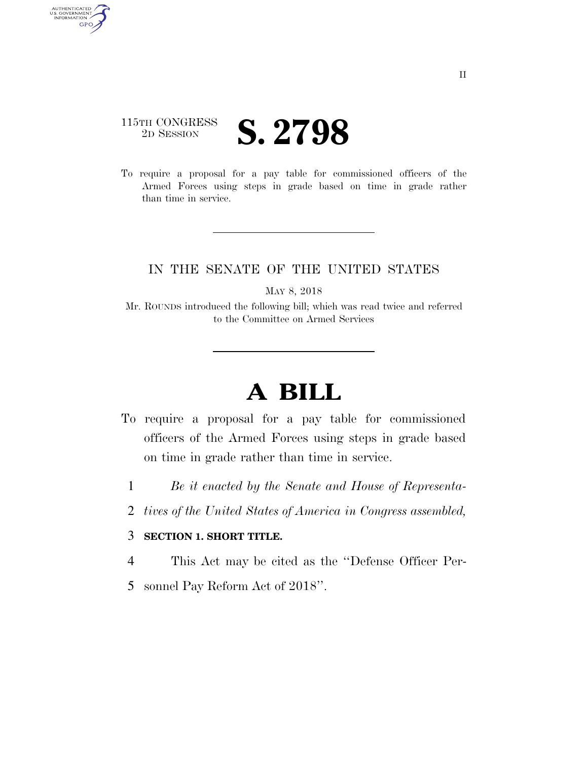## 115TH CONGRESS <sup>2D SESSION</sup> **S. 2798**

AUTHENTICATED<br>U.S. GOVERNMENT<br>INFORMATION GPO

> To require a proposal for a pay table for commissioned officers of the Armed Forces using steps in grade based on time in grade rather than time in service.

## IN THE SENATE OF THE UNITED STATES

MAY 8, 2018

Mr. ROUNDS introduced the following bill; which was read twice and referred to the Committee on Armed Services

## **A BILL**

- To require a proposal for a pay table for commissioned officers of the Armed Forces using steps in grade based on time in grade rather than time in service.
	- 1 *Be it enacted by the Senate and House of Representa-*
	- 2 *tives of the United States of America in Congress assembled,*

## 3 **SECTION 1. SHORT TITLE.**

4 This Act may be cited as the ''Defense Officer Per-

5 sonnel Pay Reform Act of 2018''.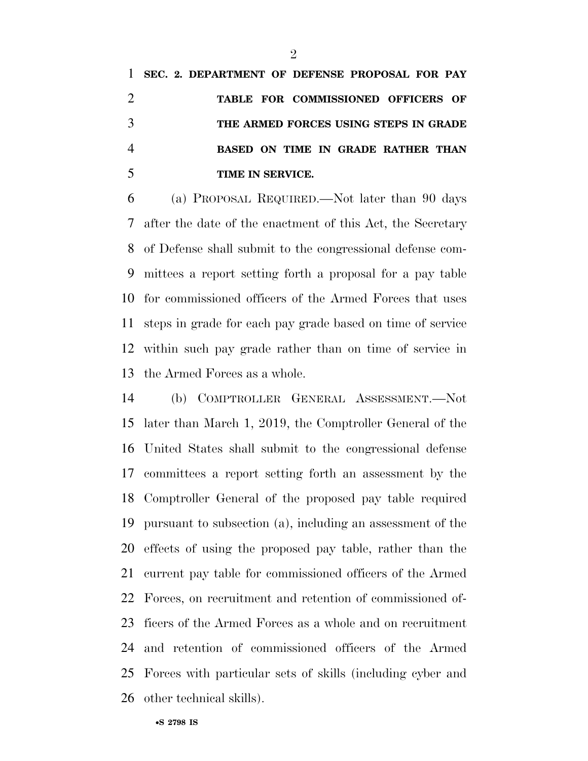|                | 1 SEC. 2. DEPARTMENT OF DEFENSE PROPOSAL FOR PAY |
|----------------|--------------------------------------------------|
| 2              | TABLE FOR COMMISSIONED OFFICERS OF               |
|                | THE ARMED FORCES USING STEPS IN GRADE            |
| $\overline{4}$ | <b>BASED ON TIME IN GRADE RATHER THAN</b>        |
| 5              | TIME IN SERVICE.                                 |

 (a) PROPOSAL REQUIRED.—Not later than 90 days after the date of the enactment of this Act, the Secretary of Defense shall submit to the congressional defense com- mittees a report setting forth a proposal for a pay table for commissioned officers of the Armed Forces that uses steps in grade for each pay grade based on time of service within such pay grade rather than on time of service in the Armed Forces as a whole.

 (b) COMPTROLLER GENERAL ASSESSMENT.—Not later than March 1, 2019, the Comptroller General of the United States shall submit to the congressional defense committees a report setting forth an assessment by the Comptroller General of the proposed pay table required pursuant to subsection (a), including an assessment of the effects of using the proposed pay table, rather than the current pay table for commissioned officers of the Armed Forces, on recruitment and retention of commissioned of- ficers of the Armed Forces as a whole and on recruitment and retention of commissioned officers of the Armed Forces with particular sets of skills (including cyber and other technical skills).